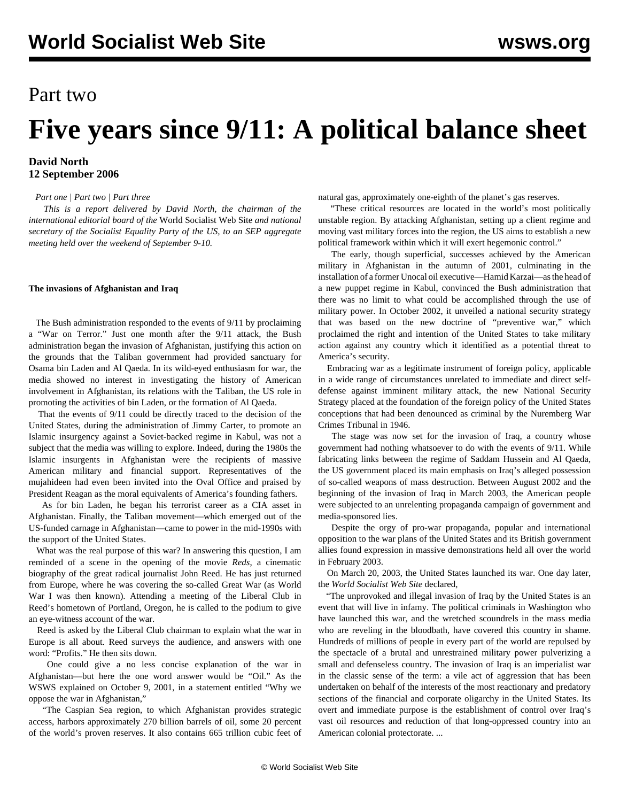# Part two

# **Five years since 9/11: A political balance sheet**

### **David North 12 September 2006**

*[Part one](/en/articles/2006/09/9111-s11.html) | [Part two](/en/articles/2006/09/9112-s12.html) | [Part three](/en/articles/2006/09/9113-s13.html)*

 *This is a report delivered by David North, the chairman of the international editorial board of the* World Socialist Web Site *and national secretary of the Socialist Equality Party of the US, to an SEP aggregate meeting held over the weekend of September 9-10.*

#### **The invasions of Afghanistan and Iraq**

 The Bush administration responded to the events of 9/11 by proclaiming a "War on Terror." Just one month after the 9/11 attack, the Bush administration began the invasion of Afghanistan, justifying this action on the grounds that the Taliban government had provided sanctuary for Osama bin Laden and Al Qaeda. In its wild-eyed enthusiasm for war, the media showed no interest in investigating the history of American involvement in Afghanistan, its relations with the Taliban, the US role in promoting the activities of bin Laden, or the formation of Al Qaeda.

 That the events of 9/11 could be directly traced to the decision of the United States, during the administration of Jimmy Carter, to promote an Islamic insurgency against a Soviet-backed regime in Kabul, was not a subject that the media was willing to explore. Indeed, during the 1980s the Islamic insurgents in Afghanistan were the recipients of massive American military and financial support. Representatives of the mujahideen had even been invited into the Oval Office and praised by President Reagan as the moral equivalents of America's founding fathers.

 As for bin Laden, he began his terrorist career as a CIA asset in Afghanistan. Finally, the Taliban movement—which emerged out of the US-funded carnage in Afghanistan—came to power in the mid-1990s with the support of the United States.

 What was the real purpose of this war? In answering this question, I am reminded of a scene in the opening of the movie *Reds*, a cinematic biography of the great radical journalist John Reed. He has just returned from Europe, where he was covering the so-called Great War (as World War I was then known). Attending a meeting of the Liberal Club in Reed's hometown of Portland, Oregon, he is called to the podium to give an eye-witness account of the war.

 Reed is asked by the Liberal Club chairman to explain what the war in Europe is all about. Reed surveys the audience, and answers with one word: "Profits." He then sits down.

 One could give a no less concise explanation of the war in Afghanistan—but here the one word answer would be "Oil." As the WSWS explained on October 9, 2001, in a statement entitled "Why we oppose the war in Afghanistan,"

 "The Caspian Sea region, to which Afghanistan provides strategic access, harbors approximately 270 billion barrels of oil, some 20 percent of the world's proven reserves. It also contains 665 trillion cubic feet of natural gas, approximately one-eighth of the planet's gas reserves.

 "These critical resources are located in the world's most politically unstable region. By attacking Afghanistan, setting up a client regime and moving vast military forces into the region, the US aims to establish a new political framework within which it will exert hegemonic control."

 The early, though superficial, successes achieved by the American military in Afghanistan in the autumn of 2001, culminating in the installation of a former Unocal oil executive—Hamid Karzai—as the head of a new puppet regime in Kabul, convinced the Bush administration that there was no limit to what could be accomplished through the use of military power. In October 2002, it unveiled a national security strategy that was based on the new doctrine of "preventive war," which proclaimed the right and intention of the United States to take military action against any country which it identified as a potential threat to America's security.

 Embracing war as a legitimate instrument of foreign policy, applicable in a wide range of circumstances unrelated to immediate and direct selfdefense against imminent military attack, the new National Security Strategy placed at the foundation of the foreign policy of the United States conceptions that had been denounced as criminal by the Nuremberg War Crimes Tribunal in 1946.

 The stage was now set for the invasion of Iraq, a country whose government had nothing whatsoever to do with the events of 9/11. While fabricating links between the regime of Saddam Hussein and Al Qaeda, the US government placed its main emphasis on Iraq's alleged possession of so-called weapons of mass destruction. Between August 2002 and the beginning of the invasion of Iraq in March 2003, the American people were subjected to an unrelenting propaganda campaign of government and media-sponsored lies.

 Despite the orgy of pro-war propaganda, popular and international opposition to the war plans of the United States and its British government allies found expression in massive demonstrations held all over the world in February 2003.

 On March 20, 2003, the United States launched its war. One day later, the *World Socialist Web Site* declared,

 "The unprovoked and illegal invasion of Iraq by the United States is an event that will live in infamy. The political criminals in Washington who have launched this war, and the wretched scoundrels in the mass media who are reveling in the bloodbath, have covered this country in shame. Hundreds of millions of people in every part of the world are repulsed by the spectacle of a brutal and unrestrained military power pulverizing a small and defenseless country. The invasion of Iraq is an imperialist war in the classic sense of the term: a vile act of aggression that has been undertaken on behalf of the interests of the most reactionary and predatory sections of the financial and corporate oligarchy in the United States. Its overt and immediate purpose is the establishment of control over Iraq's vast oil resources and reduction of that long-oppressed country into an American colonial protectorate. ...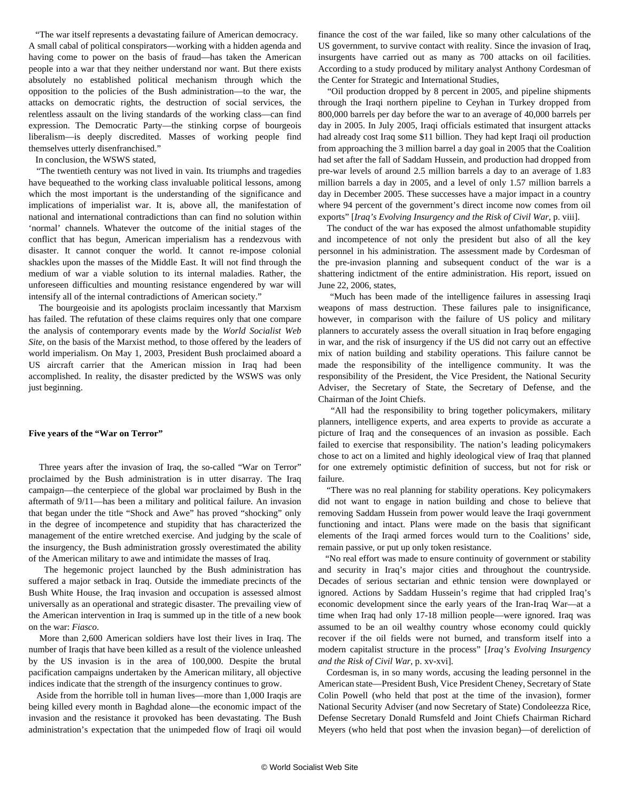"The war itself represents a devastating failure of American democracy. A small cabal of political conspirators—working with a hidden agenda and having come to power on the basis of fraud—has taken the American people into a war that they neither understand nor want. But there exists absolutely no established political mechanism through which the opposition to the policies of the Bush administration—to the war, the attacks on democratic rights, the destruction of social services, the relentless assault on the living standards of the working class—can find expression. The Democratic Party—the stinking corpse of bourgeois liberalism—is deeply discredited. Masses of working people find themselves utterly disenfranchised."

In conclusion, the WSWS stated,

 "The twentieth century was not lived in vain. Its triumphs and tragedies have bequeathed to the working class invaluable political lessons, among which the most important is the understanding of the significance and implications of imperialist war. It is, above all, the manifestation of national and international contradictions than can find no solution within 'normal' channels. Whatever the outcome of the initial stages of the conflict that has begun, American imperialism has a rendezvous with disaster. It cannot conquer the world. It cannot re-impose colonial shackles upon the masses of the Middle East. It will not find through the medium of war a viable solution to its internal maladies. Rather, the unforeseen difficulties and mounting resistance engendered by war will intensify all of the internal contradictions of American society."

 The bourgeoisie and its apologists proclaim incessantly that Marxism has failed. The refutation of these claims requires only that one compare the analysis of contemporary events made by the *World Socialist Web Site*, on the basis of the Marxist method, to those offered by the leaders of world imperialism. On May 1, 2003, President Bush proclaimed aboard a US aircraft carrier that the American mission in Iraq had been accomplished. In reality, the disaster predicted by the WSWS was only just beginning.

#### **Five years of the "War on Terror"**

 Three years after the invasion of Iraq, the so-called "War on Terror" proclaimed by the Bush administration is in utter disarray. The Iraq campaign—the centerpiece of the global war proclaimed by Bush in the aftermath of 9/11—has been a military and political failure. An invasion that began under the title "Shock and Awe" has proved "shocking" only in the degree of incompetence and stupidity that has characterized the management of the entire wretched exercise. And judging by the scale of the insurgency, the Bush administration grossly overestimated the ability of the American military to awe and intimidate the masses of Iraq.

 The hegemonic project launched by the Bush administration has suffered a major setback in Iraq. Outside the immediate precincts of the Bush White House, the Iraq invasion and occupation is assessed almost universally as an operational and strategic disaster. The prevailing view of the American intervention in Iraq is summed up in the title of a new book on the war: *Fiasco*.

 More than 2,600 American soldiers have lost their lives in Iraq. The number of Iraqis that have been killed as a result of the violence unleashed by the US invasion is in the area of 100,000. Despite the brutal pacification campaigns undertaken by the American military, all objective indices indicate that the strength of the insurgency continues to grow.

 Aside from the horrible toll in human lives—more than 1,000 Iraqis are being killed every month in Baghdad alone—the economic impact of the invasion and the resistance it provoked has been devastating. The Bush administration's expectation that the unimpeded flow of Iraqi oil would finance the cost of the war failed, like so many other calculations of the US government, to survive contact with reality. Since the invasion of Iraq, insurgents have carried out as many as 700 attacks on oil facilities. According to a study produced by military analyst Anthony Cordesman of the Center for Strategic and International Studies,

 "Oil production dropped by 8 percent in 2005, and pipeline shipments through the Iraqi northern pipeline to Ceyhan in Turkey dropped from 800,000 barrels per day before the war to an average of 40,000 barrels per day in 2005. In July 2005, Iraqi officials estimated that insurgent attacks had already cost Iraq some \$11 billion. They had kept Iraqi oil production from approaching the 3 million barrel a day goal in 2005 that the Coalition had set after the fall of Saddam Hussein, and production had dropped from pre-war levels of around 2.5 million barrels a day to an average of 1.83 million barrels a day in 2005, and a level of only 1.57 million barrels a day in December 2005. These successes have a major impact in a country where 94 percent of the government's direct income now comes from oil exports" [*Iraq's Evolving Insurgency and the Risk of Civil War*, p. viii].

 The conduct of the war has exposed the almost unfathomable stupidity and incompetence of not only the president but also of all the key personnel in his administration. The assessment made by Cordesman of the pre-invasion planning and subsequent conduct of the war is a shattering indictment of the entire administration. His report, issued on June 22, 2006, states,

 "Much has been made of the intelligence failures in assessing Iraqi weapons of mass destruction. These failures pale to insignificance, however, in comparison with the failure of US policy and military planners to accurately assess the overall situation in Iraq before engaging in war, and the risk of insurgency if the US did not carry out an effective mix of nation building and stability operations. This failure cannot be made the responsibility of the intelligence community. It was the responsibility of the President, the Vice President, the National Security Adviser, the Secretary of State, the Secretary of Defense, and the Chairman of the Joint Chiefs.

 "All had the responsibility to bring together policymakers, military planners, intelligence experts, and area experts to provide as accurate a picture of Iraq and the consequences of an invasion as possible. Each failed to exercise that responsibility. The nation's leading policymakers chose to act on a limited and highly ideological view of Iraq that planned for one extremely optimistic definition of success, but not for risk or failure.

 "There was no real planning for stability operations. Key policymakers did not want to engage in nation building and chose to believe that removing Saddam Hussein from power would leave the Iraqi government functioning and intact. Plans were made on the basis that significant elements of the Iraqi armed forces would turn to the Coalitions' side, remain passive, or put up only token resistance.

 "No real effort was made to ensure continuity of government or stability and security in Iraq's major cities and throughout the countryside. Decades of serious sectarian and ethnic tension were downplayed or ignored. Actions by Saddam Hussein's regime that had crippled Iraq's economic development since the early years of the Iran-Iraq War—at a time when Iraq had only 17-18 million people—were ignored. Iraq was assumed to be an oil wealthy country whose economy could quickly recover if the oil fields were not burned, and transform itself into a modern capitalist structure in the process" [*Iraq's Evolving Insurgency and the Risk of Civil War,* p. xv-xvi].

 Cordesman is, in so many words, accusing the leading personnel in the American state—President Bush, Vice President Cheney, Secretary of State Colin Powell (who held that post at the time of the invasion), former National Security Adviser (and now Secretary of State) Condoleezza Rice, Defense Secretary Donald Rumsfeld and Joint Chiefs Chairman Richard Meyers (who held that post when the invasion began)—of dereliction of